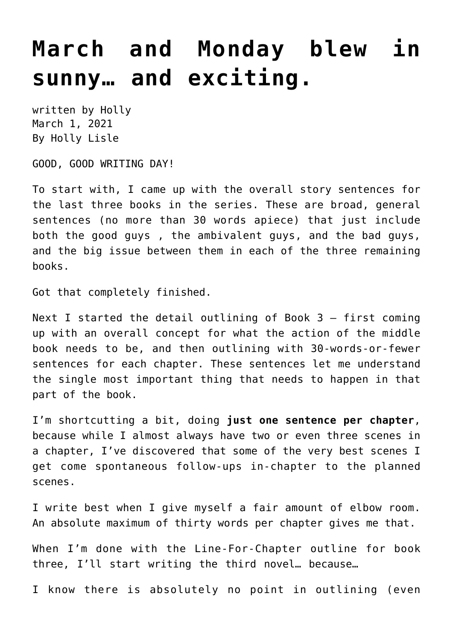## **[March and Monday blew in](https://hollylisle.com/march-and-monday-blew-in-sunny-and-exciting/) [sunny… and exciting.](https://hollylisle.com/march-and-monday-blew-in-sunny-and-exciting/)**

written by Holly March 1, 2021 [By Holly Lisle](https://hollylisle.com)

GOOD, GOOD WRITING DAY!

To start with, I came up with the overall story sentences for the last three books in the series. These are broad, general sentences (no more than 30 words apiece) that just include both the good guys , the ambivalent guys, and the bad guys, and the big issue between them in each of the three remaining books.

Got that completely finished.

Next I started the detail outlining of Book  $3$  - first coming up with an overall concept for what the action of the middle book needs to be, and then outlining with 30-words-or-fewer sentences for each chapter. These sentences let me understand the single most important thing that needs to happen in that part of the book.

I'm shortcutting a bit, doing **just one sentence per chapter**, because while I almost always have two or even three scenes in a chapter, I've discovered that some of the very best scenes I get come spontaneous follow-ups in-chapter to the planned scenes.

I write best when I give myself a fair amount of elbow room. An absolute maximum of thirty words per chapter gives me that.

When I'm done with the Line-For-Chapter outline for book three, I'll start writing the third novel… because…

I know there is absolutely no point in outlining (even